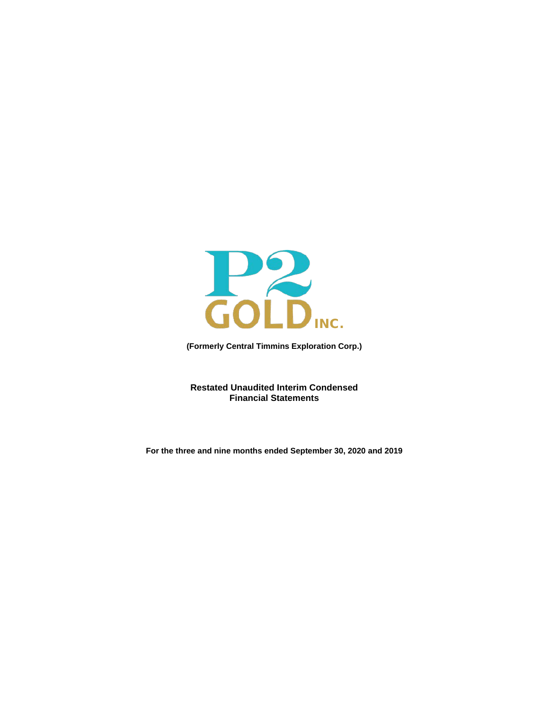

**(Formerly Central Timmins Exploration Corp.)**

**Restated Unaudited Interim Condensed Financial Statements**

**For the three and nine months ended September 30, 2020 and 2019**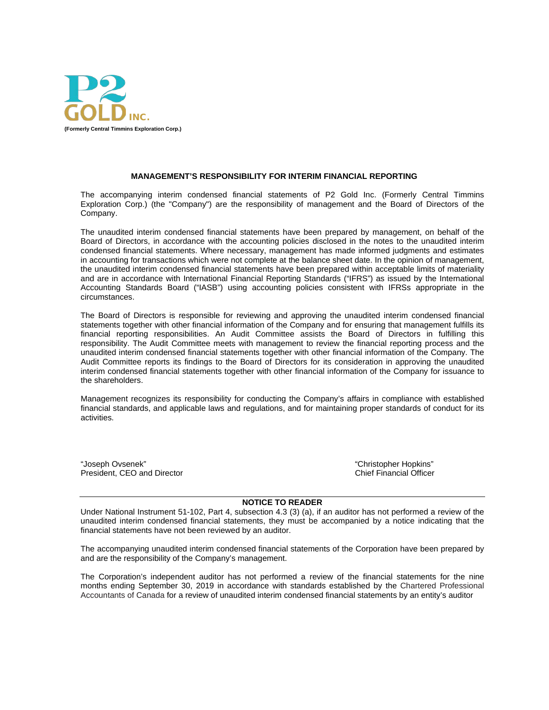

#### **MANAGEMENT'S RESPONSIBILITY FOR INTERIM FINANCIAL REPORTING**

The accompanying interim condensed financial statements of P2 Gold Inc. (Formerly Central Timmins Exploration Corp.) (the "Company") are the responsibility of management and the Board of Directors of the Company.

The unaudited interim condensed financial statements have been prepared by management, on behalf of the Board of Directors, in accordance with the accounting policies disclosed in the notes to the unaudited interim condensed financial statements. Where necessary, management has made informed judgments and estimates in accounting for transactions which were not complete at the balance sheet date. In the opinion of management, the unaudited interim condensed financial statements have been prepared within acceptable limits of materiality and are in accordance with International Financial Reporting Standards ("IFRS") as issued by the International Accounting Standards Board ("IASB") using accounting policies consistent with IFRSs appropriate in the circumstances.

The Board of Directors is responsible for reviewing and approving the unaudited interim condensed financial statements together with other financial information of the Company and for ensuring that management fulfills its financial reporting responsibilities. An Audit Committee assists the Board of Directors in fulfilling this responsibility. The Audit Committee meets with management to review the financial reporting process and the unaudited interim condensed financial statements together with other financial information of the Company. The Audit Committee reports its findings to the Board of Directors for its consideration in approving the unaudited interim condensed financial statements together with other financial information of the Company for issuance to the shareholders.

Management recognizes its responsibility for conducting the Company's affairs in compliance with established financial standards, and applicable laws and regulations, and for maintaining proper standards of conduct for its activities.

"Joseph Ovsenek" "Christopher Hopkins" President, CEO and Director

#### **NOTICE TO READER**

Under National Instrument 51-102, Part 4, subsection 4.3 (3) (a), if an auditor has not performed a review of the unaudited interim condensed financial statements, they must be accompanied by a notice indicating that the financial statements have not been reviewed by an auditor.

The accompanying unaudited interim condensed financial statements of the Corporation have been prepared by and are the responsibility of the Company's management.

The Corporation's independent auditor has not performed a review of the financial statements for the nine months ending September 30, 2019 in accordance with standards established by the Chartered Professional Accountants of Canada for a review of unaudited interim condensed financial statements by an entity's auditor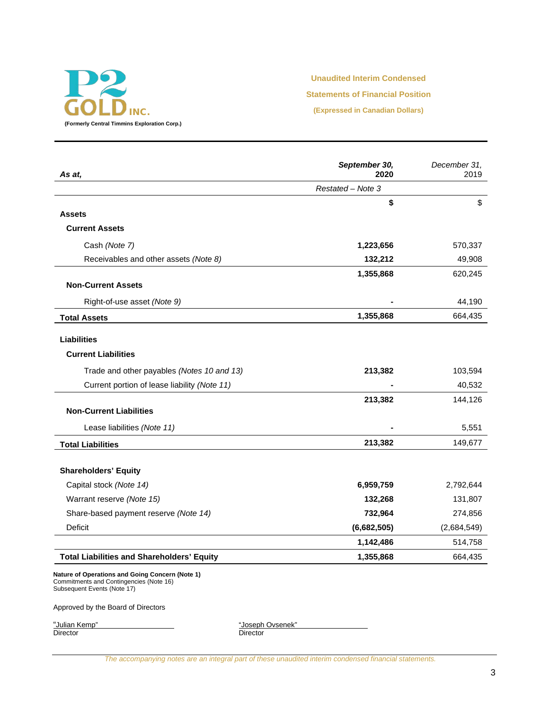

### **Unaudited Interim Condensed**

**Statements of Financial Position**

**(Expressed in Canadian Dollars)**

| As at.                                            | September 30,<br>2020 | December 31,<br>2019 |
|---------------------------------------------------|-----------------------|----------------------|
|                                                   | Restated - Note 3     |                      |
|                                                   | \$                    | \$                   |
| <b>Assets</b>                                     |                       |                      |
| <b>Current Assets</b>                             |                       |                      |
| Cash (Note 7)                                     | 1,223,656             | 570,337              |
| Receivables and other assets (Note 8)             | 132,212               | 49,908               |
|                                                   | 1,355,868             | 620,245              |
| <b>Non-Current Assets</b>                         |                       |                      |
| Right-of-use asset (Note 9)                       |                       | 44,190               |
| <b>Total Assets</b>                               | 1,355,868             | 664,435              |
| <b>Liabilities</b>                                |                       |                      |
| <b>Current Liabilities</b>                        |                       |                      |
| Trade and other payables (Notes 10 and 13)        | 213,382               | 103,594              |
| Current portion of lease liability (Note 11)      |                       | 40,532               |
|                                                   | 213,382               | 144,126              |
| <b>Non-Current Liabilities</b>                    |                       |                      |
| Lease liabilities (Note 11)                       |                       | 5,551                |
| <b>Total Liabilities</b>                          | 213,382               | 149,677              |
| <b>Shareholders' Equity</b>                       |                       |                      |
| Capital stock (Note 14)                           | 6,959,759             | 2,792,644            |
| Warrant reserve (Note 15)                         | 132,268               | 131,807              |
| Share-based payment reserve (Note 14)             | 732,964               | 274,856              |
| Deficit                                           | (6,682,505)           | (2,684,549)          |
|                                                   | 1,142,486             | 514,758              |
| <b>Total Liabilities and Shareholders' Equity</b> | 1,355,868             | 664,435              |

**Nature of Operations and Going Concern (Note 1)** Commitments and Contingencies (Note 16) Subsequent Events (Note 17)

Approved by the Board of Directors

"Julian Kemp"<br>Director

"Joseph Ovsenek"<br>Director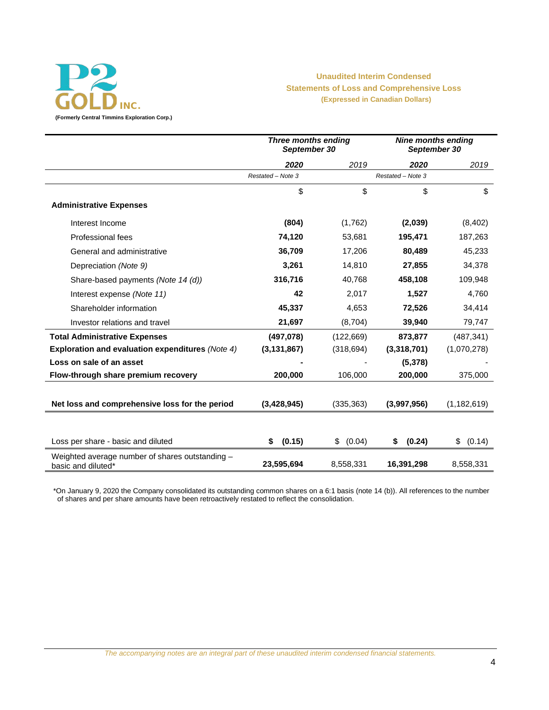

# **Unaudited Interim Condensed Statements of Loss and Comprehensive Loss (Expressed in Canadian Dollars)**

**(Formerly Central Timmins Exploration Corp.)**

|                                                                       | <b>Three months ending</b><br>September 30 |              | <b>Nine months ending</b><br>September 30 |               |  |
|-----------------------------------------------------------------------|--------------------------------------------|--------------|-------------------------------------------|---------------|--|
|                                                                       | 2020                                       | 2019         | 2020                                      | 2019          |  |
|                                                                       | Restated - Note 3                          |              | Restated - Note 3                         |               |  |
|                                                                       | \$                                         | \$           | \$                                        | \$            |  |
| <b>Administrative Expenses</b>                                        |                                            |              |                                           |               |  |
| Interest Income                                                       | (804)                                      | (1,762)      | (2,039)                                   | (8,402)       |  |
| Professional fees                                                     | 74,120                                     | 53,681       | 195,471                                   | 187,263       |  |
| General and administrative                                            | 36,709                                     | 17,206       | 80,489                                    | 45,233        |  |
| Depreciation (Note 9)                                                 | 3,261                                      | 14,810       | 27,855                                    | 34,378        |  |
| Share-based payments (Note 14 (d))                                    | 316,716                                    | 40,768       | 458,108                                   | 109,948       |  |
| Interest expense (Note 11)                                            | 42                                         | 2,017        | 1,527                                     | 4,760         |  |
| Shareholder information                                               | 45,337                                     | 4,653        | 72,526                                    | 34,414        |  |
| Investor relations and travel                                         | 21,697                                     | (8,704)      | 39,940                                    | 79,747        |  |
| <b>Total Administrative Expenses</b>                                  | (497,078)                                  | (122, 669)   | 873,877                                   | (487, 341)    |  |
| <b>Exploration and evaluation expenditures (Note 4)</b>               | (3, 131, 867)                              | (318, 694)   | (3,318,701)                               | (1,070,278)   |  |
| Loss on sale of an asset                                              |                                            |              | (5,378)                                   |               |  |
| Flow-through share premium recovery                                   | 200,000                                    | 106,000      | 200,000                                   | 375,000       |  |
|                                                                       |                                            |              |                                           |               |  |
| Net loss and comprehensive loss for the period                        | (3,428,945)                                | (335, 363)   | (3,997,956)                               | (1, 182, 619) |  |
|                                                                       |                                            |              |                                           |               |  |
| Loss per share - basic and diluted                                    | (0.15)<br>\$                               | (0.04)<br>\$ | (0.24)<br>\$                              | \$<br>(0.14)  |  |
| Weighted average number of shares outstanding -<br>basic and diluted* | 23,595,694                                 | 8,558,331    | 16,391,298                                | 8,558,331     |  |

\*On January 9, 2020 the Company consolidated its outstanding common shares on a 6:1 basis (note 14 (b)). All references to the number of shares and per share amounts have been retroactively restated to reflect the consolidation.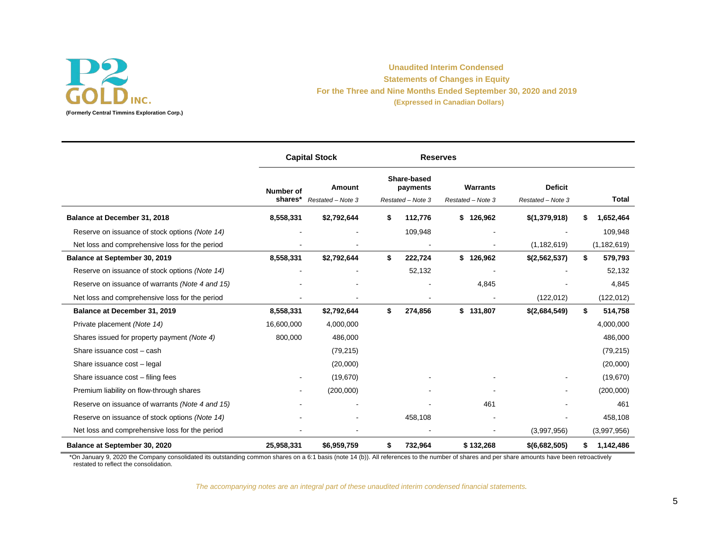

# **Unaudited Interim Condensed Statements of Changes in Equity For the Three and Nine Months Ended September 30, 2020 and 2019 (Expressed in Canadian Dollars)**

|                                                 |                             | <b>Capital Stock</b>        | <b>Reserves</b> |                                              |                                      |                                     |                 |
|-------------------------------------------------|-----------------------------|-----------------------------|-----------------|----------------------------------------------|--------------------------------------|-------------------------------------|-----------------|
|                                                 | <b>Number of</b><br>shares* | Amount<br>Restated - Note 3 |                 | Share-based<br>payments<br>Restated - Note 3 | <b>Warrants</b><br>Restated - Note 3 | <b>Deficit</b><br>Restated - Note 3 | Total           |
| Balance at December 31, 2018                    | 8,558,331                   | \$2,792,644                 |                 | 112,776                                      | 126,962<br>\$                        | \$(1,379,918)                       | 1,652,464       |
| Reserve on issuance of stock options (Note 14)  |                             |                             |                 | 109,948                                      |                                      |                                     | 109,948         |
| Net loss and comprehensive loss for the period  |                             |                             |                 |                                              |                                      | (1, 182, 619)                       | (1, 182, 619)   |
| Balance at September 30, 2019                   | 8,558,331                   | \$2,792,644                 | \$              | 222,724                                      | \$126,962                            | \$(2,562,537)                       | 579,793<br>\$   |
| Reserve on issuance of stock options (Note 14)  |                             |                             |                 | 52,132                                       |                                      |                                     | 52,132          |
| Reserve on issuance of warrants (Note 4 and 15) |                             |                             |                 |                                              | 4,845                                |                                     | 4,845           |
| Net loss and comprehensive loss for the period  |                             |                             |                 |                                              |                                      | (122, 012)                          | (122, 012)      |
| Balance at December 31, 2019                    | 8,558,331                   | \$2,792,644                 | \$              | 274,856                                      | \$131,807                            | \$(2,684,549)                       | \$<br>514,758   |
| Private placement (Note 14)                     | 16,600,000                  | 4,000,000                   |                 |                                              |                                      |                                     | 4,000,000       |
| Shares issued for property payment (Note 4)     | 800,000                     | 486,000                     |                 |                                              |                                      |                                     | 486,000         |
| Share issuance cost - cash                      |                             | (79, 215)                   |                 |                                              |                                      |                                     | (79, 215)       |
| Share issuance cost - legal                     |                             | (20,000)                    |                 |                                              |                                      |                                     | (20,000)        |
| Share issuance cost - filing fees               |                             | (19, 670)                   |                 |                                              |                                      |                                     | (19, 670)       |
| Premium liability on flow-through shares        |                             | (200,000)                   |                 |                                              |                                      |                                     | (200,000)       |
| Reserve on issuance of warrants (Note 4 and 15) |                             |                             |                 |                                              | 461                                  |                                     | 461             |
| Reserve on issuance of stock options (Note 14)  |                             |                             |                 | 458,108                                      |                                      |                                     | 458,108         |
| Net loss and comprehensive loss for the period  |                             |                             |                 |                                              |                                      | (3,997,956)                         | (3,997,956)     |
| Balance at September 30, 2020                   | 25,958,331                  | \$6,959,759                 | S.              | 732,964                                      | \$132,268                            | \$(6,682,505)                       | 1,142,486<br>S. |

\*On January 9, 2020 the Company consolidated its outstanding common shares on a 6:1 basis (note 14 (b)). All references to the number of shares and per share amounts have been retroactively restated to reflect the consolidation.

*The accompanying notes are an integral part of these unaudited interim condensed financial statements.*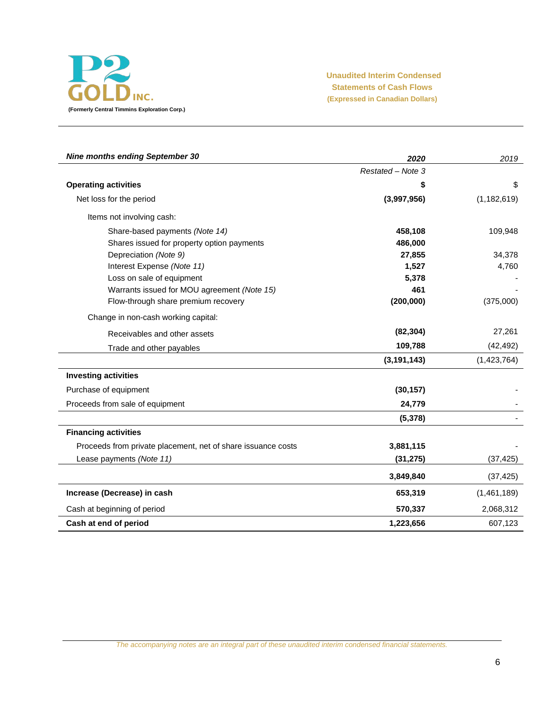

**Unaudited Interim Condensed Statements of Cash Flows (Expressed in Canadian Dollars)**

| <b>Nine months ending September 30</b>                       | 2020              | 2019          |
|--------------------------------------------------------------|-------------------|---------------|
|                                                              | Restated - Note 3 |               |
| <b>Operating activities</b>                                  | \$                | \$            |
| Net loss for the period                                      | (3,997,956)       | (1, 182, 619) |
| Items not involving cash:                                    |                   |               |
| Share-based payments (Note 14)                               | 458,108           | 109,948       |
| Shares issued for property option payments                   | 486,000           |               |
| Depreciation (Note 9)                                        | 27,855            | 34,378        |
| Interest Expense (Note 11)                                   | 1,527             | 4,760         |
| Loss on sale of equipment                                    | 5,378             |               |
| Warrants issued for MOU agreement (Note 15)                  | 461               |               |
| Flow-through share premium recovery                          | (200,000)         | (375,000)     |
| Change in non-cash working capital:                          |                   |               |
| Receivables and other assets                                 | (82, 304)         | 27,261        |
| Trade and other payables                                     | 109,788           | (42, 492)     |
|                                                              | (3, 191, 143)     | (1,423,764)   |
| <b>Investing activities</b>                                  |                   |               |
| Purchase of equipment                                        | (30, 157)         |               |
| Proceeds from sale of equipment                              | 24,779            |               |
|                                                              | (5, 378)          |               |
| <b>Financing activities</b>                                  |                   |               |
| Proceeds from private placement, net of share issuance costs | 3,881,115         |               |
| Lease payments (Note 11)                                     | (31, 275)         | (37, 425)     |
|                                                              | 3,849,840         | (37, 425)     |
| Increase (Decrease) in cash                                  | 653,319           | (1,461,189)   |
| Cash at beginning of period                                  | 570,337           | 2,068,312     |
| Cash at end of period                                        | 1,223,656         | 607,123       |

*The accompanying notes are an integral part of these unaudited interim condensed financial statements.*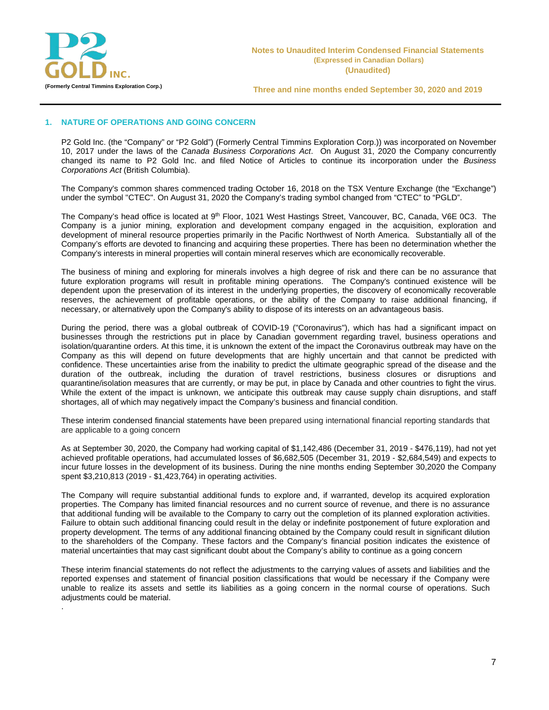

.

**Three and nine months ended September 30, 2020 and 2019**

## **1. NATURE OF OPERATIONS AND GOING CONCERN**

P2 Gold Inc. (the "Company" or "P2 Gold") (Formerly Central Timmins Exploration Corp.)) was incorporated on November 10, 2017 under the laws of the *Canada Business Corporations Act*. On August 31, 2020 the Company concurrently changed its name to P2 Gold Inc. and filed Notice of Articles to continue its incorporation under the *Business Corporations Act* (British Columbia).

The Company's common shares commenced trading October 16, 2018 on the TSX Venture Exchange (the "Exchange") under the symbol "CTEC". On August 31, 2020 the Company's trading symbol changed from "CTEC" to "PGLD".

The Company's head office is located at 9<sup>th</sup> Floor, 1021 West Hastings Street, Vancouver, BC, Canada, V6E 0C3. The Company is a junior mining, exploration and development company engaged in the acquisition, exploration and development of mineral resource properties primarily in the Pacific Northwest of North America. Substantially all of the Company's efforts are devoted to financing and acquiring these properties. There has been no determination whether the Company's interests in mineral properties will contain mineral reserves which are economically recoverable.

The business of mining and exploring for minerals involves a high degree of risk and there can be no assurance that future exploration programs will result in profitable mining operations. The Company's continued existence will be dependent upon the preservation of its interest in the underlying properties, the discovery of economically recoverable reserves, the achievement of profitable operations, or the ability of the Company to raise additional financing, if necessary, or alternatively upon the Company's ability to dispose of its interests on an advantageous basis.

During the period, there was a global outbreak of COVID-19 ("Coronavirus"), which has had a significant impact on businesses through the restrictions put in place by Canadian government regarding travel, business operations and isolation/quarantine orders. At this time, it is unknown the extent of the impact the Coronavirus outbreak may have on the Company as this will depend on future developments that are highly uncertain and that cannot be predicted with confidence. These uncertainties arise from the inability to predict the ultimate geographic spread of the disease and the duration of the outbreak, including the duration of travel restrictions, business closures or disruptions and quarantine/isolation measures that are currently, or may be put, in place by Canada and other countries to fight the virus. While the extent of the impact is unknown, we anticipate this outbreak may cause supply chain disruptions, and staff shortages, all of which may negatively impact the Company's business and financial condition.

These interim condensed financial statements have been prepared using international financial reporting standards that are applicable to a going concern

As at September 30, 2020, the Company had working capital of \$1,142,486 (December 31, 2019 - \$476,119), had not yet achieved profitable operations, had accumulated losses of \$6,682,505 (December 31, 2019 - \$2,684,549) and expects to incur future losses in the development of its business. During the nine months ending September 30,2020 the Company spent \$3,210,813 (2019 - \$1,423,764) in operating activities.

The Company will require substantial additional funds to explore and, if warranted, develop its acquired exploration properties. The Company has limited financial resources and no current source of revenue, and there is no assurance that additional funding will be available to the Company to carry out the completion of its planned exploration activities. Failure to obtain such additional financing could result in the delay or indefinite postponement of future exploration and property development. The terms of any additional financing obtained by the Company could result in significant dilution to the shareholders of the Company. These factors and the Company's financial position indicates the existence of material uncertainties that may cast significant doubt about the Company's ability to continue as a going concern

These interim financial statements do not reflect the adjustments to the carrying values of assets and liabilities and the reported expenses and statement of financial position classifications that would be necessary if the Company were unable to realize its assets and settle its liabilities as a going concern in the normal course of operations. Such adjustments could be material.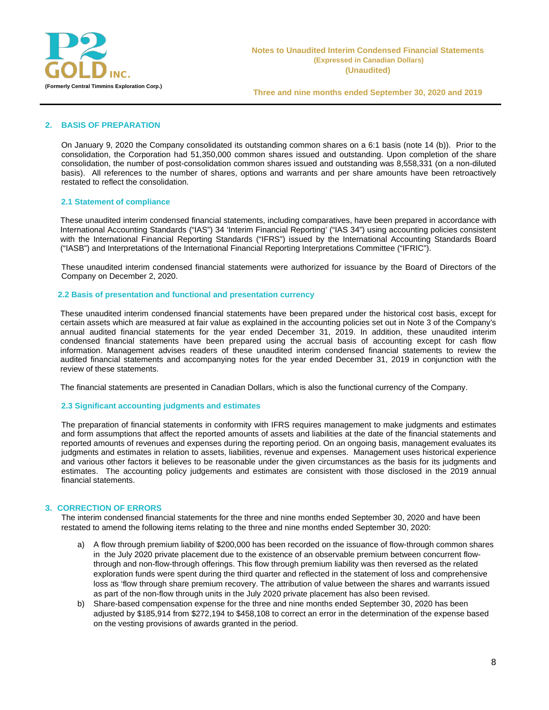

## **2. BASIS OF PREPARATION**

On January 9, 2020 the Company consolidated its outstanding common shares on a 6:1 basis (note 14 (b)). Prior to the consolidation, the Corporation had 51,350,000 common shares issued and outstanding. Upon completion of the share consolidation, the number of post-consolidation common shares issued and outstanding was 8,558,331 (on a non-diluted basis). All references to the number of shares, options and warrants and per share amounts have been retroactively restated to reflect the consolidation.

## **2.1 Statement of compliance**

These unaudited interim condensed financial statements, including comparatives, have been prepared in accordance with International Accounting Standards ("IAS") 34 'Interim Financial Reporting' ("IAS 34") using accounting policies consistent with the International Financial Reporting Standards ("IFRS") issued by the International Accounting Standards Board ("IASB") and Interpretations of the International Financial Reporting Interpretations Committee ("IFRIC").

These unaudited interim condensed financial statements were authorized for issuance by the Board of Directors of the Company on December 2, 2020.

## **2.2 Basis of presentation and functional and presentation currency**

These unaudited interim condensed financial statements have been prepared under the historical cost basis, except for certain assets which are measured at fair value as explained in the accounting policies set out in Note 3 of the Company's annual audited financial statements for the year ended December 31, 2019. In addition, these unaudited interim condensed financial statements have been prepared using the accrual basis of accounting except for cash flow information. Management advises readers of these unaudited interim condensed financial statements to review the audited financial statements and accompanying notes for the year ended December 31, 2019 in conjunction with the review of these statements.

The financial statements are presented in Canadian Dollars, which is also the functional currency of the Company.

#### **2.3 Significant accounting judgments and estimates**

The preparation of financial statements in conformity with IFRS requires management to make judgments and estimates and form assumptions that affect the reported amounts of assets and liabilities at the date of the financial statements and reported amounts of revenues and expenses during the reporting period. On an ongoing basis, management evaluates its judgments and estimates in relation to assets, liabilities, revenue and expenses. Management uses historical experience and various other factors it believes to be reasonable under the given circumstances as the basis for its judgments and estimates. The accounting policy judgements and estimates are consistent with those disclosed in the 2019 annual financial statements.

#### **3. CORRECTION OF ERRORS**

The interim condensed financial statements for the three and nine months ended September 30, 2020 and have been restated to amend the following items relating to the three and nine months ended September 30, 2020:

- a) A flow through premium liability of \$200,000 has been recorded on the issuance of flow-through common shares in the July 2020 private placement due to the existence of an observable premium between concurrent flowthrough and non-flow-through offerings. This flow through premium liability was then reversed as the related exploration funds were spent during the third quarter and reflected in the statement of loss and comprehensive loss as 'flow through share premium recovery. The attribution of value between the shares and warrants issued as part of the non-flow through units in the July 2020 private placement has also been revised.
- b) Share-based compensation expense for the three and nine months ended September 30, 2020 has been adjusted by \$185,914 from \$272,194 to \$458,108 to correct an error in the determination of the expense based on the vesting provisions of awards granted in the period.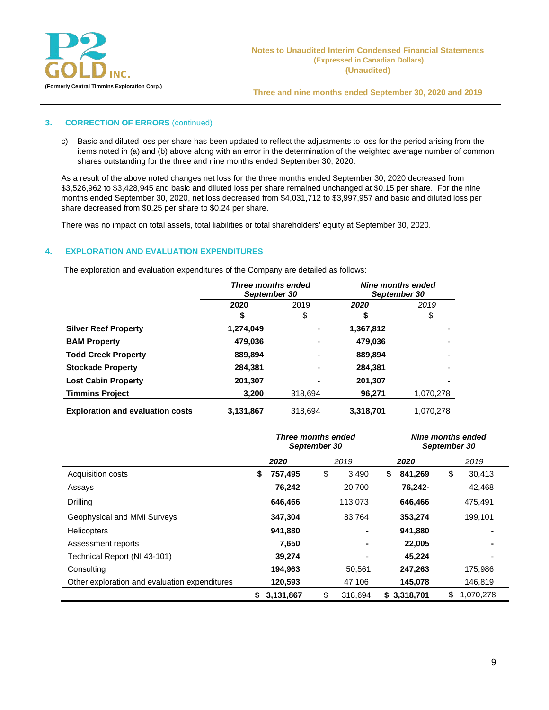

## **3. CORRECTION OF ERRORS** (continued)

c) Basic and diluted loss per share has been updated to reflect the adjustments to loss for the period arising from the items noted in (a) and (b) above along with an error in the determination of the weighted average number of common shares outstanding for the three and nine months ended September 30, 2020.

As a result of the above noted changes net loss for the three months ended September 30, 2020 decreased from \$3,526,962 to \$3,428,945 and basic and diluted loss per share remained unchanged at \$0.15 per share. For the nine months ended September 30, 2020, net loss decreased from \$4,031,712 to \$3,997,957 and basic and diluted loss per share decreased from \$0.25 per share to \$0.24 per share.

There was no impact on total assets, total liabilities or total shareholders' equity at September 30, 2020.

## **4. EXPLORATION AND EVALUATION EXPENDITURES**

The exploration and evaluation expenditures of the Company are detailed as follows:

|                                         | Three months ended<br>September 30 |         | <b>Nine months ended</b><br>September 30 |           |  |
|-----------------------------------------|------------------------------------|---------|------------------------------------------|-----------|--|
|                                         | 2019<br>2020                       |         | 2020                                     | 2019      |  |
|                                         |                                    |         |                                          |           |  |
| <b>Silver Reef Property</b>             | 1,274,049                          |         | 1,367,812                                |           |  |
| <b>BAM Property</b>                     | 479,036                            |         | 479,036                                  |           |  |
| <b>Todd Creek Property</b>              | 889,894                            | ٠       | 889,894                                  |           |  |
| <b>Stockade Property</b>                | 284.381                            | ٠       | 284,381                                  |           |  |
| <b>Lost Cabin Property</b>              | 201,307                            | ٠       | 201,307                                  |           |  |
| <b>Timmins Project</b>                  | 3.200                              | 318.694 | 96,271                                   | 1,070,278 |  |
| <b>Exploration and evaluation costs</b> | 3,131,867                          | 318,694 | 3,318,701                                | 1,070,278 |  |

|                                               | Three months ended<br>September 30 |           |    | Nine months ended<br>September 30 |    |             |    |           |
|-----------------------------------------------|------------------------------------|-----------|----|-----------------------------------|----|-------------|----|-----------|
|                                               |                                    | 2020      |    | 2019                              |    | 2020        |    | 2019      |
| Acquisition costs                             | S.                                 | 757,495   | \$ | 3,490                             | \$ | 841,269     | \$ | 30,413    |
| Assays                                        |                                    | 76,242    |    | 20,700                            |    | 76,242-     |    | 42,468    |
| <b>Drilling</b>                               |                                    | 646,466   |    | 113,073                           |    | 646,466     |    | 475,491   |
| Geophysical and MMI Surveys                   |                                    | 347.304   |    | 83.764                            |    | 353,274     |    | 199,101   |
| <b>Helicopters</b>                            |                                    | 941,880   |    |                                   |    | 941,880     |    |           |
| Assessment reports                            |                                    | 7,650     |    |                                   |    | 22,005      |    |           |
| Technical Report (NI 43-101)                  |                                    | 39,274    |    |                                   |    | 45.224      |    |           |
| Consulting                                    |                                    | 194,963   |    | 50,561                            |    | 247,263     |    | 175,986   |
| Other exploration and evaluation expenditures |                                    | 120,593   |    | 47,106                            |    | 145,078     |    | 146,819   |
|                                               | \$                                 | 3,131,867 | \$ | 318.694                           |    | \$3,318,701 | \$ | 1,070,278 |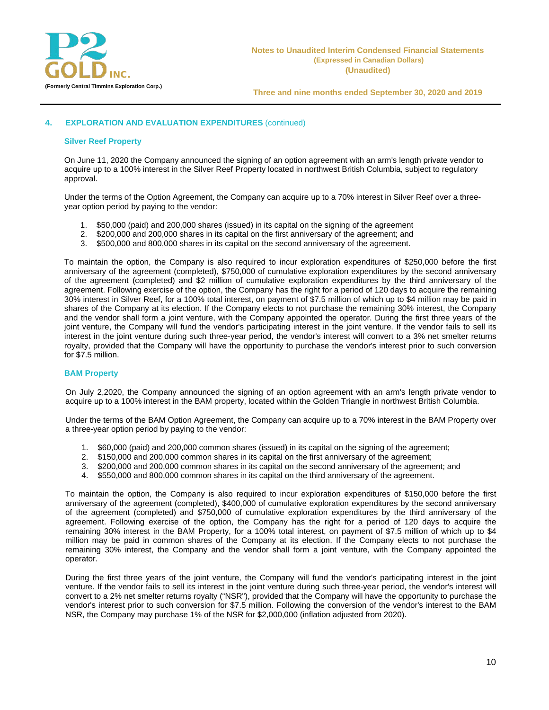

## **4. EXPLORATION AND EVALUATION EXPENDITURES** (continued)

#### **Silver Reef Property**

On June 11, 2020 the Company announced the signing of an option agreement with an arm's length private vendor to acquire up to a 100% interest in the Silver Reef Property located in northwest British Columbia, subject to regulatory approval.

Under the terms of the Option Agreement, the Company can acquire up to a 70% interest in Silver Reef over a threeyear option period by paying to the vendor:

- 1. \$50,000 (paid) and 200,000 shares (issued) in its capital on the signing of the agreement
- 2. \$200,000 and 200,000 shares in its capital on the first anniversary of the agreement; and
- 3. \$500,000 and 800,000 shares in its capital on the second anniversary of the agreement.

To maintain the option, the Company is also required to incur exploration expenditures of \$250,000 before the first anniversary of the agreement (completed), \$750,000 of cumulative exploration expenditures by the second anniversary of the agreement (completed) and \$2 million of cumulative exploration expenditures by the third anniversary of the agreement. Following exercise of the option, the Company has the right for a period of 120 days to acquire the remaining 30% interest in Silver Reef, for a 100% total interest, on payment of \$7.5 million of which up to \$4 million may be paid in shares of the Company at its election. If the Company elects to not purchase the remaining 30% interest, the Company and the vendor shall form a joint venture, with the Company appointed the operator. During the first three years of the joint venture, the Company will fund the vendor's participating interest in the joint venture. If the vendor fails to sell its interest in the joint venture during such three-year period, the vendor's interest will convert to a 3% net smelter returns royalty, provided that the Company will have the opportunity to purchase the vendor's interest prior to such conversion for \$7.5 million.

#### **BAM Property**

On July 2,2020, the Company announced the signing of an option agreement with an arm's length private vendor to acquire up to a 100% interest in the BAM property, located within the Golden Triangle in northwest British Columbia.

Under the terms of the BAM Option Agreement, the Company can acquire up to a 70% interest in the BAM Property over a three-year option period by paying to the vendor:

- 1. \$60,000 (paid) and 200,000 common shares (issued) in its capital on the signing of the agreement;
- 2. \$150,000 and 200,000 common shares in its capital on the first anniversary of the agreement;
- 3. \$200,000 and 200,000 common shares in its capital on the second anniversary of the agreement; and
- 4. \$550,000 and 800,000 common shares in its capital on the third anniversary of the agreement.

To maintain the option, the Company is also required to incur exploration expenditures of \$150,000 before the first anniversary of the agreement (completed), \$400,000 of cumulative exploration expenditures by the second anniversary of the agreement (completed) and \$750,000 of cumulative exploration expenditures by the third anniversary of the agreement. Following exercise of the option, the Company has the right for a period of 120 days to acquire the remaining 30% interest in the BAM Property, for a 100% total interest, on payment of \$7.5 million of which up to \$4 million may be paid in common shares of the Company at its election. If the Company elects to not purchase the remaining 30% interest, the Company and the vendor shall form a joint venture, with the Company appointed the operator.

During the first three years of the joint venture, the Company will fund the vendor's participating interest in the joint venture. If the vendor fails to sell its interest in the joint venture during such three-year period, the vendor's interest will convert to a 2% net smelter returns royalty ("NSR"), provided that the Company will have the opportunity to purchase the vendor's interest prior to such conversion for \$7.5 million. Following the conversion of the vendor's interest to the BAM NSR, the Company may purchase 1% of the NSR for \$2,000,000 (inflation adjusted from 2020).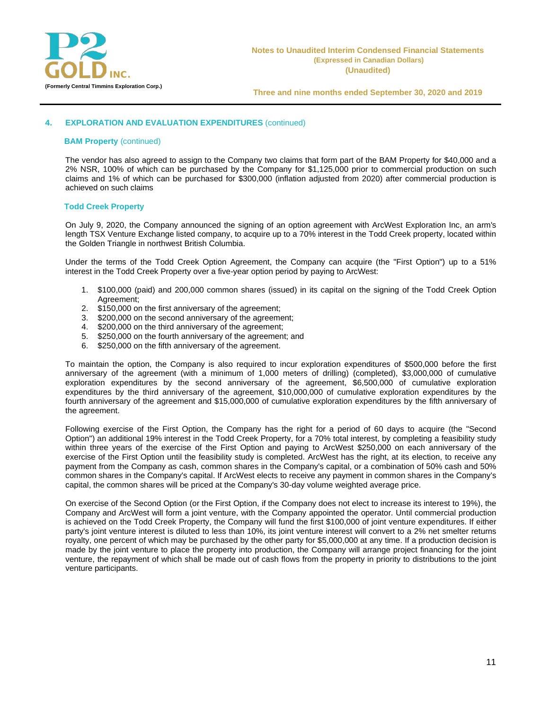

## **4. EXPLORATION AND EVALUATION EXPENDITURES** (continued)

#### **BAM Property** (continued)

The vendor has also agreed to assign to the Company two claims that form part of the BAM Property for \$40,000 and a 2% NSR, 100% of which can be purchased by the Company for \$1,125,000 prior to commercial production on such claims and 1% of which can be purchased for \$300,000 (inflation adjusted from 2020) after commercial production is achieved on such claims

#### **Todd Creek Property**

On July 9, 2020, the Company announced the signing of an option agreement with ArcWest Exploration Inc, an arm's length TSX Venture Exchange listed company, to acquire up to a 70% interest in the Todd Creek property, located within the Golden Triangle in northwest British Columbia.

Under the terms of the Todd Creek Option Agreement, the Company can acquire (the "First Option") up to a 51% interest in the Todd Creek Property over a five-year option period by paying to ArcWest:

- 1. \$100,000 (paid) and 200,000 common shares (issued) in its capital on the signing of the Todd Creek Option Agreement;
- 2. \$150,000 on the first anniversary of the agreement;
- 3. \$200,000 on the second anniversary of the agreement;
- 4. \$200,000 on the third anniversary of the agreement;<br>5. \$250,000 on the fourth anniversary of the agreement
- 5. \$250,000 on the fourth anniversary of the agreement; and 6. \$250,000 on the fifth anniversary of the agreement.
- \$250,000 on the fifth anniversary of the agreement.

To maintain the option, the Company is also required to incur exploration expenditures of \$500,000 before the first anniversary of the agreement (with a minimum of 1,000 meters of drilling) (completed), \$3,000,000 of cumulative exploration expenditures by the second anniversary of the agreement, \$6,500,000 of cumulative exploration expenditures by the third anniversary of the agreement, \$10,000,000 of cumulative exploration expenditures by the fourth anniversary of the agreement and \$15,000,000 of cumulative exploration expenditures by the fifth anniversary of the agreement.

Following exercise of the First Option, the Company has the right for a period of 60 days to acquire (the "Second Option") an additional 19% interest in the Todd Creek Property, for a 70% total interest, by completing a feasibility study within three years of the exercise of the First Option and paying to ArcWest \$250,000 on each anniversary of the exercise of the First Option until the feasibility study is completed. ArcWest has the right, at its election, to receive any payment from the Company as cash, common shares in the Company's capital, or a combination of 50% cash and 50% common shares in the Company's capital. If ArcWest elects to receive any payment in common shares in the Company's capital, the common shares will be priced at the Company's 30-day volume weighted average price.

On exercise of the Second Option (or the First Option, if the Company does not elect to increase its interest to 19%), the Company and ArcWest will form a joint venture, with the Company appointed the operator. Until commercial production is achieved on the Todd Creek Property, the Company will fund the first \$100,000 of joint venture expenditures. If either party's joint venture interest is diluted to less than 10%, its joint venture interest will convert to a 2% net smelter returns royalty, one percent of which may be purchased by the other party for \$5,000,000 at any time. If a production decision is made by the joint venture to place the property into production, the Company will arrange project financing for the joint venture, the repayment of which shall be made out of cash flows from the property in priority to distributions to the joint venture participants.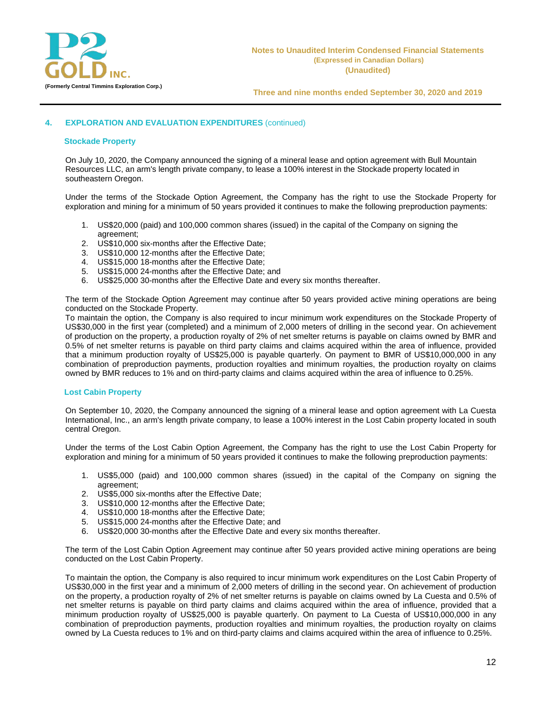

## **4. EXPLORATION AND EVALUATION EXPENDITURES** (continued)

#### **Stockade Property**

On July 10, 2020, the Company announced the signing of a mineral lease and option agreement with Bull Mountain Resources LLC, an arm's length private company, to lease a 100% interest in the Stockade property located in southeastern Oregon.

Under the terms of the Stockade Option Agreement, the Company has the right to use the Stockade Property for exploration and mining for a minimum of 50 years provided it continues to make the following preproduction payments:

- 1. US\$20,000 (paid) and 100,000 common shares (issued) in the capital of the Company on signing the agreement;
- 2. US\$10,000 six-months after the Effective Date;
- 3. US\$10,000 12-months after the Effective Date;
- 4. US\$15,000 18-months after the Effective Date;
- 5. US\$15,000 24-months after the Effective Date; and
- 6. US\$25,000 30-months after the Effective Date and every six months thereafter.

The term of the Stockade Option Agreement may continue after 50 years provided active mining operations are being conducted on the Stockade Property.

To maintain the option, the Company is also required to incur minimum work expenditures on the Stockade Property of US\$30,000 in the first year (completed) and a minimum of 2,000 meters of drilling in the second year. On achievement of production on the property, a production royalty of 2% of net smelter returns is payable on claims owned by BMR and 0.5% of net smelter returns is payable on third party claims and claims acquired within the area of influence, provided that a minimum production royalty of US\$25,000 is payable quarterly. On payment to BMR of US\$10,000,000 in any combination of preproduction payments, production royalties and minimum royalties, the production royalty on claims owned by BMR reduces to 1% and on third-party claims and claims acquired within the area of influence to 0.25%.

#### **Lost Cabin Property**

On September 10, 2020, the Company announced the signing of a mineral lease and option agreement with La Cuesta International, Inc., an arm's length private company, to lease a 100% interest in the Lost Cabin property located in south central Oregon.

Under the terms of the Lost Cabin Option Agreement, the Company has the right to use the Lost Cabin Property for exploration and mining for a minimum of 50 years provided it continues to make the following preproduction payments:

- 1. US\$5,000 (paid) and 100,000 common shares (issued) in the capital of the Company on signing the agreement;
- 2. US\$5,000 six-months after the Effective Date;
- 3. US\$10,000 12-months after the Effective Date;
- 4. US\$10,000 18-months after the Effective Date;
- 5. US\$15,000 24-months after the Effective Date; and
- 6. US\$20,000 30-months after the Effective Date and every six months thereafter.

The term of the Lost Cabin Option Agreement may continue after 50 years provided active mining operations are being conducted on the Lost Cabin Property.

To maintain the option, the Company is also required to incur minimum work expenditures on the Lost Cabin Property of US\$30,000 in the first year and a minimum of 2,000 meters of drilling in the second year. On achievement of production on the property, a production royalty of 2% of net smelter returns is payable on claims owned by La Cuesta and 0.5% of net smelter returns is payable on third party claims and claims acquired within the area of influence, provided that a minimum production royalty of US\$25,000 is payable quarterly. On payment to La Cuesta of US\$10,000,000 in any combination of preproduction payments, production royalties and minimum royalties, the production royalty on claims owned by La Cuesta reduces to 1% and on third-party claims and claims acquired within the area of influence to 0.25%.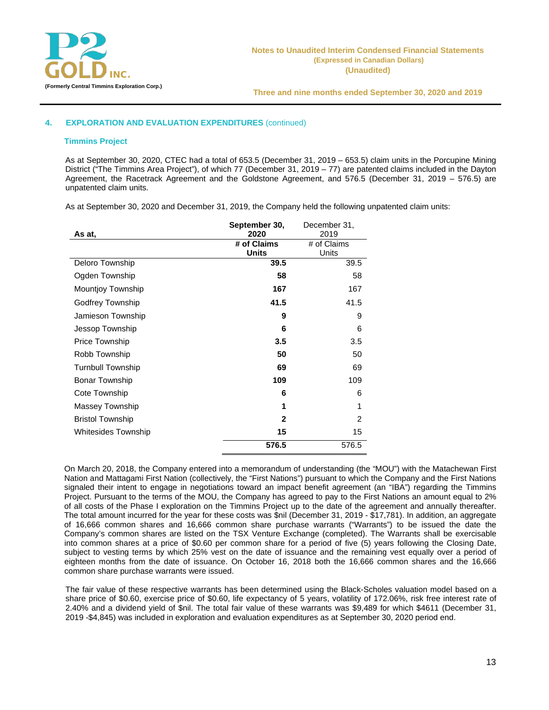

## **4. EXPLORATION AND EVALUATION EXPENDITURES** (continued)

#### **Timmins Project**

As at September 30, 2020, CTEC had a total of 653.5 (December 31, 2019 – 653.5) claim units in the Porcupine Mining District ("The Timmins Area Project"), of which 77 (December 31, 2019 – 77) are patented claims included in the Dayton Agreement, the Racetrack Agreement and the Goldstone Agreement, and 576.5 (December 31, 2019 – 576.5) are unpatented claim units.

As at September 30, 2020 and December 31, 2019, the Company held the following unpatented claim units:

| September 30,            |              | December 31,   |
|--------------------------|--------------|----------------|
| As at,                   | 2020         | 2019           |
|                          | # of Claims  | # of Claims    |
|                          | <b>Units</b> | Units          |
| Deloro Township          | 39.5         | 39.5           |
| Ogden Township           | 58           | 58             |
| <b>Mountjoy Township</b> | 167          | 167            |
| <b>Godfrey Township</b>  | 41.5         | 41.5           |
| Jamieson Township        | 9            | 9              |
| Jessop Township          | 6            | 6              |
| <b>Price Township</b>    | 3.5          | 3.5            |
| Robb Township            | 50           | 50             |
| <b>Turnbull Township</b> | 69           | 69             |
| <b>Bonar Township</b>    | 109          | 109            |
| Cote Township            | 6            | 6              |
| Massey Township          | 1            | 1              |
| <b>Bristol Township</b>  | $\mathbf{2}$ | $\overline{2}$ |
| Whitesides Township      | 15           | 15             |
|                          | 576.5        | 576.5          |

On March 20, 2018, the Company entered into a memorandum of understanding (the "MOU") with the Matachewan First Nation and Mattagami First Nation (collectively, the "First Nations") pursuant to which the Company and the First Nations signaled their intent to engage in negotiations toward an impact benefit agreement (an "IBA") regarding the Timmins Project. Pursuant to the terms of the MOU, the Company has agreed to pay to the First Nations an amount equal to 2% of all costs of the Phase I exploration on the Timmins Project up to the date of the agreement and annually thereafter. The total amount incurred for the year for these costs was \$nil (December 31, 2019 - \$17,781). In addition, an aggregate of 16,666 common shares and 16,666 common share purchase warrants ("Warrants") to be issued the date the Company's common shares are listed on the TSX Venture Exchange (completed). The Warrants shall be exercisable into common shares at a price of \$0.60 per common share for a period of five (5) years following the Closing Date, subject to vesting terms by which 25% vest on the date of issuance and the remaining vest equally over a period of eighteen months from the date of issuance. On October 16, 2018 both the 16,666 common shares and the 16,666 common share purchase warrants were issued.

The fair value of these respective warrants has been determined using the Black-Scholes valuation model based on a share price of \$0.60, exercise price of \$0.60, life expectancy of 5 years, volatility of 172.06%, risk free interest rate of 2.40% and a dividend yield of \$nil. The total fair value of these warrants was \$9,489 for which \$4611 (December 31, 2019 -\$4,845) was included in exploration and evaluation expenditures as at September 30, 2020 period end.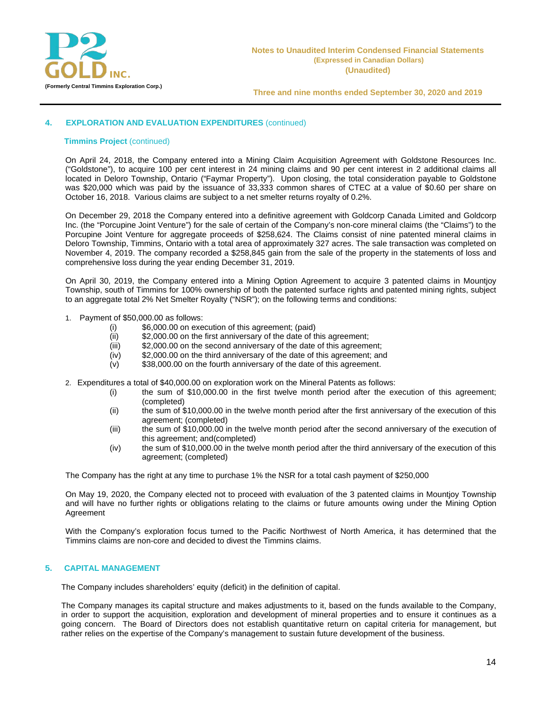

## **4. EXPLORATION AND EVALUATION EXPENDITURES** (continued)

#### **Timmins Project** (continued)

On April 24, 2018, the Company entered into a Mining Claim Acquisition Agreement with Goldstone Resources Inc. ("Goldstone"), to acquire 100 per cent interest in 24 mining claims and 90 per cent interest in 2 additional claims all located in Deloro Township, Ontario ("Faymar Property"). Upon closing, the total consideration payable to Goldstone was \$20,000 which was paid by the issuance of 33,333 common shares of CTEC at a value of \$0.60 per share on October 16, 2018. Various claims are subject to a net smelter returns royalty of 0.2%.

On December 29, 2018 the Company entered into a definitive agreement with Goldcorp Canada Limited and Goldcorp Inc. (the "Porcupine Joint Venture") for the sale of certain of the Company's non‐core mineral claims (the "Claims") to the Porcupine Joint Venture for aggregate proceeds of \$258,624. The Claims consist of nine patented mineral claims in Deloro Township, Timmins, Ontario with a total area of approximately 327 acres. The sale transaction was completed on November 4, 2019. The company recorded a \$258,845 gain from the sale of the property in the statements of loss and comprehensive loss during the year ending December 31, 2019.

On April 30, 2019, the Company entered into a Mining Option Agreement to acquire 3 patented claims in Mountjoy Township, south of Timmins for 100% ownership of both the patented surface rights and patented mining rights, subject to an aggregate total 2% Net Smelter Royalty ("NSR"); on the following terms and conditions:

- 1. Payment of \$50,000.00 as follows:
	- (i) \$6,000.00 on execution of this agreement; (paid)
	- $(i)$  \$2,000.00 on the first anniversary of the date of this agreement;<br>(iii) \$2,000.00 on the second anniversary of the date of this agreement;
	- (iii)  $$2,000.00$  on the second anniversary of the date of this agreement; (iv)  $$2,000.00$  on the third anniversary of the date of this agreement; an
	- $(iv)$  \$2,000.00 on the third anniversary of the date of this agreement; and  $(v)$  \$38,000.00 on the fourth anniversary of the date of this agreement.
	- \$38,000.00 on the fourth anniversary of the date of this agreement.
- 2. Expenditures a total of \$40,000.00 on exploration work on the Mineral Patents as follows:
	- (i) the sum of \$10,000.00 in the first twelve month period after the execution of this agreement; (completed)
	- (ii) the sum of \$10,000.00 in the twelve month period after the first anniversary of the execution of this agreement; (completed)
	- (iii) the sum of \$10,000.00 in the twelve month period after the second anniversary of the execution of this agreement; and(completed)
	- (iv) the sum of \$10,000.00 in the twelve month period after the third anniversary of the execution of this agreement; (completed)

The Company has the right at any time to purchase 1% the NSR for a total cash payment of \$250,000

On May 19, 2020, the Company elected not to proceed with evaluation of the 3 patented claims in Mountjoy Township and will have no further rights or obligations relating to the claims or future amounts owing under the Mining Option Agreement

With the Company's exploration focus turned to the Pacific Northwest of North America, it has determined that the Timmins claims are non-core and decided to divest the Timmins claims.

## **5. CAPITAL MANAGEMENT**

The Company includes shareholders' equity (deficit) in the definition of capital.

The Company manages its capital structure and makes adjustments to it, based on the funds available to the Company, in order to support the acquisition, exploration and development of mineral properties and to ensure it continues as a going concern. The Board of Directors does not establish quantitative return on capital criteria for management, but rather relies on the expertise of the Company's management to sustain future development of the business.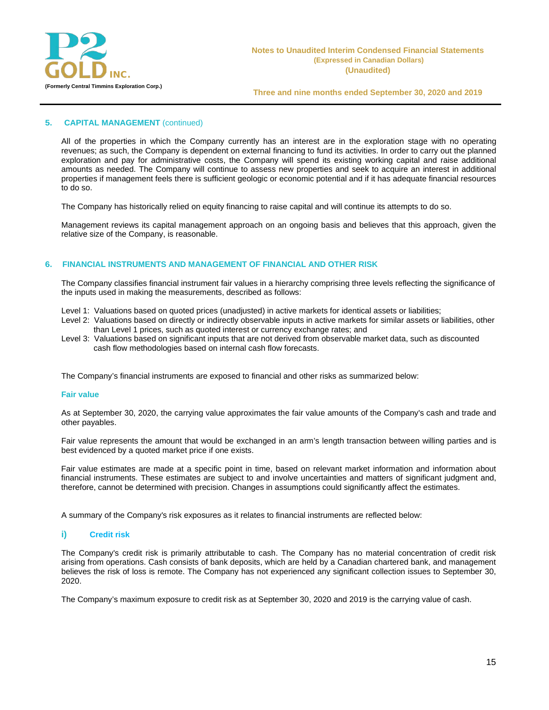

## **5. CAPITAL MANAGEMENT** (continued)

All of the properties in which the Company currently has an interest are in the exploration stage with no operating revenues; as such, the Company is dependent on external financing to fund its activities. In order to carry out the planned exploration and pay for administrative costs, the Company will spend its existing working capital and raise additional amounts as needed. The Company will continue to assess new properties and seek to acquire an interest in additional properties if management feels there is sufficient geologic or economic potential and if it has adequate financial resources to do so.

The Company has historically relied on equity financing to raise capital and will continue its attempts to do so.

Management reviews its capital management approach on an ongoing basis and believes that this approach, given the relative size of the Company, is reasonable.

#### **6. FINANCIAL INSTRUMENTS AND MANAGEMENT OF FINANCIAL AND OTHER RISK**

The Company classifies financial instrument fair values in a hierarchy comprising three levels reflecting the significance of the inputs used in making the measurements, described as follows:

- Level 1: Valuations based on quoted prices (unadjusted) in active markets for identical assets or liabilities;
- Level 2: Valuations based on directly or indirectly observable inputs in active markets for similar assets or liabilities, other than Level 1 prices, such as quoted interest or currency exchange rates; and
- Level 3: Valuations based on significant inputs that are not derived from observable market data, such as discounted cash flow methodologies based on internal cash flow forecasts.

The Company's financial instruments are exposed to financial and other risks as summarized below:

#### **Fair value**

As at September 30, 2020, the carrying value approximates the fair value amounts of the Company's cash and trade and other payables.

Fair value represents the amount that would be exchanged in an arm's length transaction between willing parties and is best evidenced by a quoted market price if one exists.

Fair value estimates are made at a specific point in time, based on relevant market information and information about financial instruments. These estimates are subject to and involve uncertainties and matters of significant judgment and, therefore, cannot be determined with precision. Changes in assumptions could significantly affect the estimates.

A summary of the Company's risk exposures as it relates to financial instruments are reflected below:

#### **i) Credit risk**

The Company's credit risk is primarily attributable to cash. The Company has no material concentration of credit risk arising from operations. Cash consists of bank deposits, which are held by a Canadian chartered bank, and management believes the risk of loss is remote. The Company has not experienced any significant collection issues to September 30, 2020.

The Company's maximum exposure to credit risk as at September 30, 2020 and 2019 is the carrying value of cash.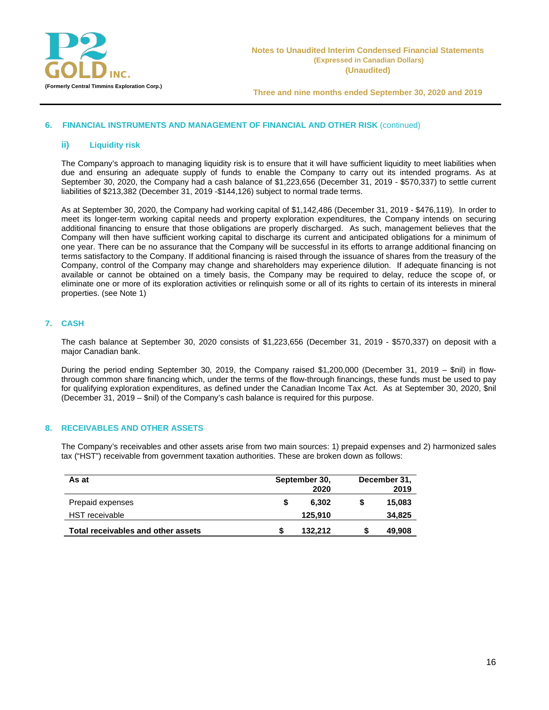

## **6. FINANCIAL INSTRUMENTS AND MANAGEMENT OF FINANCIAL AND OTHER RISK** (continued)

#### **ii) Liquidity risk**

The Company's approach to managing liquidity risk is to ensure that it will have sufficient liquidity to meet liabilities when due and ensuring an adequate supply of funds to enable the Company to carry out its intended programs. As at September 30, 2020, the Company had a cash balance of \$1,223,656 (December 31, 2019 - \$570,337) to settle current liabilities of \$213,382 (December 31, 2019 -\$144,126) subject to normal trade terms.

As at September 30, 2020, the Company had working capital of \$1,142,486 (December 31, 2019 - \$476,119). In order to meet its longer-term working capital needs and property exploration expenditures, the Company intends on securing additional financing to ensure that those obligations are properly discharged. As such, management believes that the Company will then have sufficient working capital to discharge its current and anticipated obligations for a minimum of one year. There can be no assurance that the Company will be successful in its efforts to arrange additional financing on terms satisfactory to the Company. If additional financing is raised through the issuance of shares from the treasury of the Company, control of the Company may change and shareholders may experience dilution. If adequate financing is not available or cannot be obtained on a timely basis, the Company may be required to delay, reduce the scope of, or eliminate one or more of its exploration activities or relinquish some or all of its rights to certain of its interests in mineral properties. (see Note 1)

## **7. CASH**

The cash balance at September 30, 2020 consists of \$1,223,656 (December 31, 2019 - \$570,337) on deposit with a major Canadian bank.

During the period ending September 30, 2019, the Company raised \$1,200,000 (December 31, 2019 – \$nil) in flowthrough common share financing which, under the terms of the flow-through financings, these funds must be used to pay for qualifying exploration expenditures, as defined under the Canadian Income Tax Act. As at September 30, 2020, \$nil (December 31, 2019 – \$nil) of the Company's cash balance is required for this purpose.

#### **8. RECEIVABLES AND OTHER ASSETS**

The Company's receivables and other assets arise from two main sources: 1) prepaid expenses and 2) harmonized sales tax ("HST") receivable from government taxation authorities. These are broken down as follows:

| As at                              | September 30,<br>2020 |  | December 31,<br>2019 |
|------------------------------------|-----------------------|--|----------------------|
| Prepaid expenses                   | 6.302                 |  | 15,083               |
| HST receivable                     | 125.910               |  | 34,825               |
| Total receivables and other assets | 132.212               |  | 49,908               |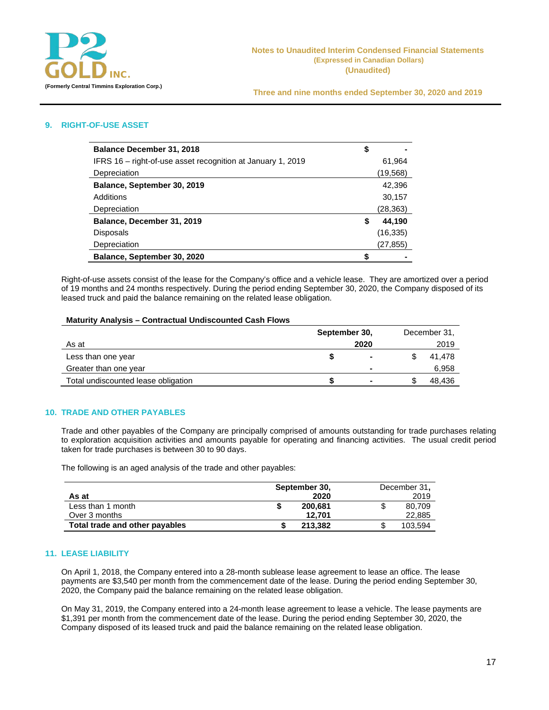

## **9. RIGHT-OF-USE ASSET**

| <b>Balance December 31, 2018</b>                            | \$ |           |
|-------------------------------------------------------------|----|-----------|
| IFRS 16 – right-of-use asset recognition at January 1, 2019 |    | 61,964    |
| Depreciation                                                |    | (19,568)  |
| Balance, September 30, 2019                                 |    | 42,396    |
| Additions                                                   |    | 30,157    |
| Depreciation                                                |    | (28,363)  |
| Balance, December 31, 2019                                  | S  | 44.190    |
| <b>Disposals</b>                                            |    | (16, 335) |
| Depreciation                                                |    | (27, 855) |
| Balance, September 30, 2020                                 |    |           |

Right-of-use assets consist of the lease for the Company's office and a vehicle lease. They are amortized over a period of 19 months and 24 months respectively. During the period ending September 30, 2020, the Company disposed of its leased truck and paid the balance remaining on the related lease obligation.

#### **Maturity Analysis – Contractual Undiscounted Cash Flows**

|                                     | September 30, |                |    | December 31, |
|-------------------------------------|---------------|----------------|----|--------------|
| As at                               |               | 2020           |    | 2019         |
| Less than one year                  |               | ۰              |    | 41.478       |
| Greater than one year               |               | $\blacksquare$ |    | 6,958        |
| Total undiscounted lease obligation |               |                | J. | 48,436       |

#### **10. TRADE AND OTHER PAYABLES**

Trade and other payables of the Company are principally comprised of amounts outstanding for trade purchases relating to exploration acquisition activities and amounts payable for operating and financing activities. The usual credit period taken for trade purchases is between 30 to 90 days.

The following is an aged analysis of the trade and other payables:

|                                | September 30, |    | December 31, |
|--------------------------------|---------------|----|--------------|
| As at                          | 2020          |    | 2019         |
| Less than 1 month              | 200.681       | \$ | 80.709       |
| Over 3 months                  | 12.701        |    | 22,885       |
| Total trade and other payables | 213.382       | S  | 103.594      |

#### **11. LEASE LIABILITY**

On April 1, 2018, the Company entered into a 28-month sublease lease agreement to lease an office. The lease payments are \$3,540 per month from the commencement date of the lease. During the period ending September 30, 2020, the Company paid the balance remaining on the related lease obligation.

On May 31, 2019, the Company entered into a 24-month lease agreement to lease a vehicle. The lease payments are \$1,391 per month from the commencement date of the lease. During the period ending September 30, 2020, the Company disposed of its leased truck and paid the balance remaining on the related lease obligation.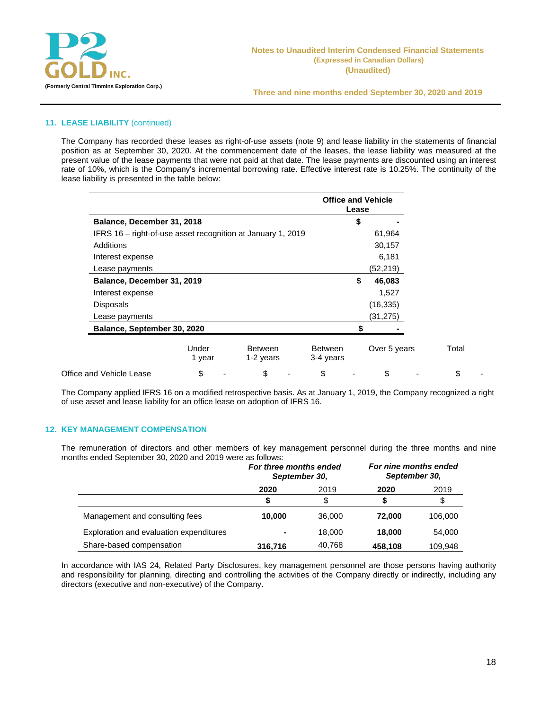

## **11. LEASE LIABILITY** (continued)

The Company has recorded these leases as right-of-use assets (note 9) and lease liability in the statements of financial position as at September 30, 2020. At the commencement date of the leases, the lease liability was measured at the present value of the lease payments that were not paid at that date. The lease payments are discounted using an interest rate of 10%, which is the Company's incremental borrowing rate. Effective interest rate is 10.25%. The continuity of the lease liability is presented in the table below:

|                                                             |                 |                             | <b>Office and Vehicle</b>   | Lease |              |       |
|-------------------------------------------------------------|-----------------|-----------------------------|-----------------------------|-------|--------------|-------|
| Balance, December 31, 2018                                  |                 |                             |                             | \$    |              |       |
| IFRS 16 – right-of-use asset recognition at January 1, 2019 |                 |                             |                             |       | 61,964       |       |
| <b>Additions</b>                                            |                 |                             |                             |       | 30,157       |       |
| Interest expense                                            |                 |                             |                             |       | 6,181        |       |
| Lease payments                                              |                 |                             |                             |       | (52, 219)    |       |
| Balance, December 31, 2019                                  |                 |                             |                             | \$    | 46,083       |       |
| Interest expense                                            |                 |                             |                             |       | 1,527        |       |
| <b>Disposals</b>                                            |                 |                             |                             |       | (16, 335)    |       |
| Lease payments                                              |                 |                             |                             |       | (31, 275)    |       |
| Balance, September 30, 2020                                 |                 |                             |                             |       |              |       |
|                                                             | Under<br>1 year | <b>Between</b><br>1-2 years | <b>Between</b><br>3-4 years |       | Over 5 years | Total |
| Office and Vehicle Lease                                    | \$              | \$                          | \$                          |       | \$           | \$    |

The Company applied IFRS 16 on a modified retrospective basis. As at January 1, 2019, the Company recognized a right of use asset and lease liability for an office lease on adoption of IFRS 16.

## **12. KEY MANAGEMENT COMPENSATION**

The remuneration of directors and other members of key management personnel during the three months and nine months ended September 30, 2020 and 2019 were as follows:

|                                         | For three months ended<br>September 30, |        | For nine months ended<br>September 30, |         |
|-----------------------------------------|-----------------------------------------|--------|----------------------------------------|---------|
|                                         | 2020                                    | 2019   |                                        | 2019    |
|                                         | \$                                      | \$     |                                        | \$      |
| Management and consulting fees          | 10.000                                  | 36,000 | 72.000                                 | 106,000 |
| Exploration and evaluation expenditures |                                         | 18,000 | 18,000                                 | 54,000  |
| Share-based compensation                | 316,716                                 | 40,768 | 458,108                                | 109.948 |

In accordance with IAS 24, Related Party Disclosures, key management personnel are those persons having authority and responsibility for planning, directing and controlling the activities of the Company directly or indirectly, including any directors (executive and non-executive) of the Company.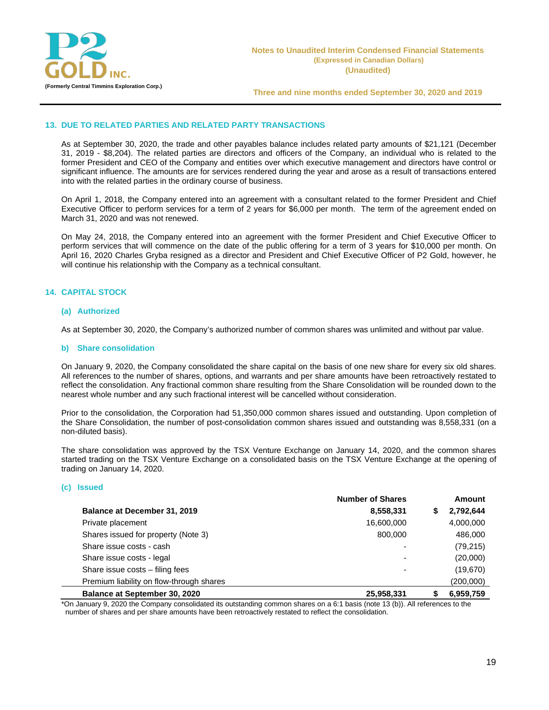

#### **13. DUE TO RELATED PARTIES AND RELATED PARTY TRANSACTIONS**

As at September 30, 2020, the trade and other payables balance includes related party amounts of \$21,121 (December 31, 2019 - \$8,204). The related parties are directors and officers of the Company, an individual who is related to the former President and CEO of the Company and entities over which executive management and directors have control or significant influence. The amounts are for services rendered during the year and arose as a result of transactions entered into with the related parties in the ordinary course of business.

On April 1, 2018, the Company entered into an agreement with a consultant related to the former President and Chief Executive Officer to perform services for a term of 2 years for \$6,000 per month. The term of the agreement ended on March 31, 2020 and was not renewed.

On May 24, 2018, the Company entered into an agreement with the former President and Chief Executive Officer to perform services that will commence on the date of the public offering for a term of 3 years for \$10,000 per month. On April 16, 2020 Charles Gryba resigned as a director and President and Chief Executive Officer of P2 Gold, however, he will continue his relationship with the Company as a technical consultant.

#### **14. CAPITAL STOCK**

#### **(a) Authorized**

As at September 30, 2020, the Company's authorized number of common shares was unlimited and without par value.

#### **b) Share consolidation**

On January 9, 2020, the Company consolidated the share capital on the basis of one new share for every six old shares. All references to the number of shares, options, and warrants and per share amounts have been retroactively restated to reflect the consolidation. Any fractional common share resulting from the Share Consolidation will be rounded down to the nearest whole number and any such fractional interest will be cancelled without consideration.

Prior to the consolidation, the Corporation had 51,350,000 common shares issued and outstanding. Upon completion of the Share Consolidation, the number of post-consolidation common shares issued and outstanding was 8,558,331 (on a non-diluted basis).

The share consolidation was approved by the TSX Venture Exchange on January 14, 2020, and the common shares started trading on the TSX Venture Exchange on a consolidated basis on the TSX Venture Exchange at the opening of trading on January 14, 2020.

#### **(c) Issued**

|                                          | <b>Number of Shares</b>  |   | <b>Amount</b> |
|------------------------------------------|--------------------------|---|---------------|
| Balance at December 31, 2019             | 8,558,331                | S | 2,792,644     |
| Private placement                        | 16,600,000               |   | 4,000,000     |
| Shares issued for property (Note 3)      | 800,000                  |   | 486,000       |
| Share issue costs - cash                 | -                        |   | (79, 215)     |
| Share issue costs - legal                |                          |   | (20,000)      |
| Share issue costs - filing fees          | $\overline{\phantom{0}}$ |   | (19,670)      |
| Premium liability on flow-through shares |                          |   | (200,000)     |
| Balance at September 30, 2020            | 25,958,331               |   | 6,959,759     |

\*On January 9, 2020 the Company consolidated its outstanding common shares on a 6:1 basis (note 13 (b)). All references to the number of shares and per share amounts have been retroactively restated to reflect the consolidation.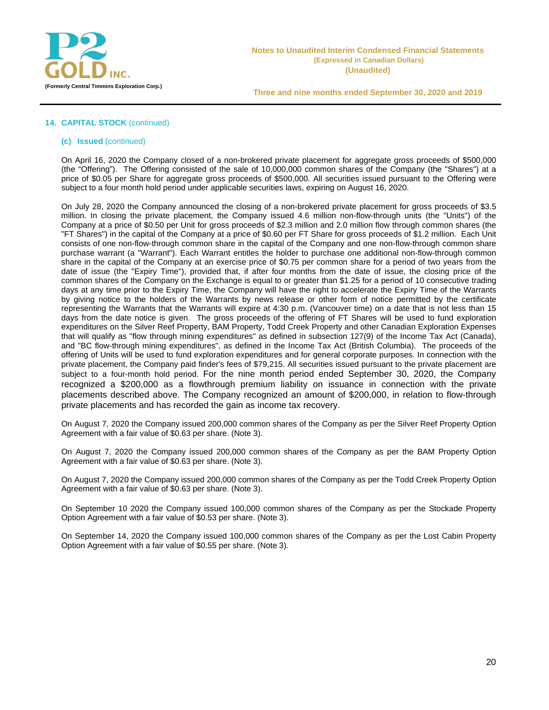

## **14. CAPITAL STOCK** (continued)

#### **(c) Issued** (continued)

On April 16, 2020 the Company closed of a non-brokered private placement for aggregate gross proceeds of \$500,000 (the "Offering"). The Offering consisted of the sale of 10,000,000 common shares of the Company (the "Shares") at a price of \$0.05 per Share for aggregate gross proceeds of \$500,000. All securities issued pursuant to the Offering were subject to a four month hold period under applicable securities laws, expiring on August 16, 2020.

On July 28, 2020 the Company announced the closing of a non-brokered private placement for gross proceeds of \$3.5 million. In closing the private placement, the Company issued 4.6 million non-flow-through units (the "Units") of the Company at a price of \$0.50 per Unit for gross proceeds of \$2.3 million and 2.0 million flow through common shares (the "FT Shares") in the capital of the Company at a price of \$0.60 per FT Share for gross proceeds of \$1.2 million. Each Unit consists of one non-flow-through common share in the capital of the Company and one non-flow-through common share purchase warrant (a "Warrant"). Each Warrant entitles the holder to purchase one additional non-flow-through common share in the capital of the Company at an exercise price of \$0.75 per common share for a period of two years from the date of issue (the "Expiry Time"), provided that, if after four months from the date of issue, the closing price of the common shares of the Company on the Exchange is equal to or greater than \$1.25 for a period of 10 consecutive trading days at any time prior to the Expiry Time, the Company will have the right to accelerate the Expiry Time of the Warrants by giving notice to the holders of the Warrants by news release or other form of notice permitted by the certificate representing the Warrants that the Warrants will expire at 4:30 p.m. (Vancouver time) on a date that is not less than 15 days from the date notice is given. The gross proceeds of the offering of FT Shares will be used to fund exploration expenditures on the Silver Reef Property, BAM Property, Todd Creek Property and other Canadian Exploration Expenses that will qualify as "flow through mining expenditures" as defined in subsection 127(9) of the Income Tax Act (Canada), and "BC flow-through mining expenditures", as defined in the Income Tax Act (British Columbia). The proceeds of the offering of Units will be used to fund exploration expenditures and for general corporate purposes. In connection with the private placement, the Company paid finder's fees of \$79,215. All securities issued pursuant to the private placement are subject to a four-month hold period. For the nine month period ended September 30, 2020, the Company recognized a \$200,000 as a flowthrough premium liability on issuance in connection with the private placements described above. The Company recognized an amount of \$200,000, in relation to flow-through private placements and has recorded the gain as income tax recovery.

On August 7, 2020 the Company issued 200,000 common shares of the Company as per the Silver Reef Property Option Agreement with a fair value of \$0.63 per share. (Note 3).

On August 7, 2020 the Company issued 200,000 common shares of the Company as per the BAM Property Option Agreement with a fair value of \$0.63 per share. (Note 3).

On August 7, 2020 the Company issued 200,000 common shares of the Company as per the Todd Creek Property Option Agreement with a fair value of \$0.63 per share. (Note 3).

On September 10 2020 the Company issued 100,000 common shares of the Company as per the Stockade Property Option Agreement with a fair value of \$0.53 per share. (Note 3).

On September 14, 2020 the Company issued 100,000 common shares of the Company as per the Lost Cabin Property Option Agreement with a fair value of \$0.55 per share. (Note 3).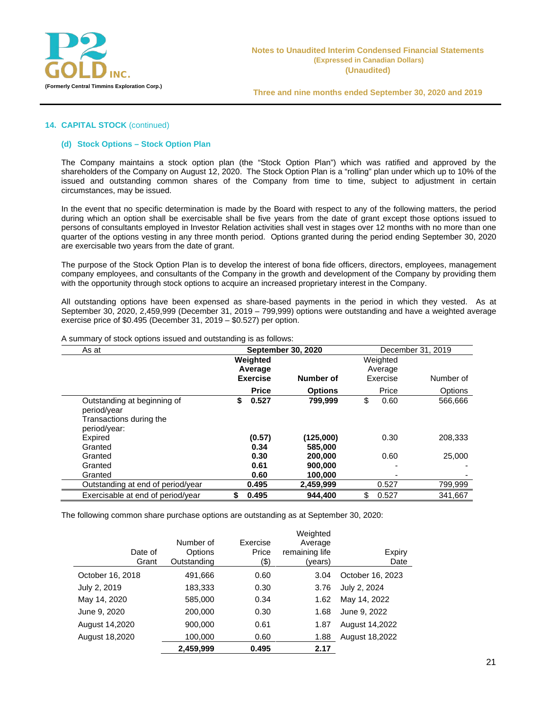

#### **14. CAPITAL STOCK** (continued)

#### **(d) Stock Options – Stock Option Plan**

The Company maintains a stock option plan (the "Stock Option Plan") which was ratified and approved by the shareholders of the Company on August 12, 2020. The Stock Option Plan is a "rolling" plan under which up to 10% of the issued and outstanding common shares of the Company from time to time, subject to adjustment in certain circumstances, may be issued.

In the event that no specific determination is made by the Board with respect to any of the following matters, the period during which an option shall be exercisable shall be five years from the date of grant except those options issued to persons of consultants employed in Investor Relation activities shall vest in stages over 12 months with no more than one quarter of the options vesting in any three month period. Options granted during the period ending September 30, 2020 are exercisable two years from the date of grant.

The purpose of the Stock Option Plan is to develop the interest of bona fide officers, directors, employees, management company employees, and consultants of the Company in the growth and development of the Company by providing them with the opportunity through stock options to acquire an increased proprietary interest in the Company.

All outstanding options have been expensed as share-based payments in the period in which they vested. As at September 30, 2020, 2,459,999 (December 31, 2019 – 799,999) options were outstanding and have a weighted average exercise price of \$0.495 (December 31, 2019 – \$0.527) per option.

| As at                                                                                 | <b>September 30, 2020</b> |                            |                               | December 31, 2019 |                                 |                |  |  |
|---------------------------------------------------------------------------------------|---------------------------|----------------------------|-------------------------------|-------------------|---------------------------------|----------------|--|--|
|                                                                                       | Weighted                  | Average<br><b>Exercise</b> | Number of                     |                   | Weighted<br>Average<br>Exercise | Number of      |  |  |
|                                                                                       |                           | <b>Price</b>               | <b>Options</b>                |                   | Price                           | <b>Options</b> |  |  |
| Outstanding at beginning of<br>period/year<br>Transactions during the<br>period/year: | \$                        | 0.527                      | 799.999                       | \$                | 0.60                            | 566.666        |  |  |
| Expired<br>Granted                                                                    |                           | (0.57)<br>0.34             | (125,000)<br>585.000          |                   | 0.30                            | 208.333        |  |  |
| Granted<br>Granted<br>Granted                                                         |                           | 0.30<br>0.61<br>0.60       | 200,000<br>900,000<br>100.000 |                   | 0.60                            | 25,000         |  |  |
| Outstanding at end of period/year                                                     |                           | 0.495                      | 2,459,999                     |                   | 0.527                           | 799,999        |  |  |
| Exercisable at end of period/year                                                     | \$                        | 0.495                      | 944.400                       | \$                | 0.527                           | 341.667        |  |  |

A summary of stock options issued and outstanding is as follows:

The following common share purchase options are outstanding as at September 30, 2020:

|                  | Number of              | Exercise      | Weighted<br>Average       |                  |
|------------------|------------------------|---------------|---------------------------|------------------|
| Date of<br>Grant | Options<br>Outstanding | Price<br>(\$) | remaining life<br>(years) | Expiry<br>Date   |
| October 16, 2018 | 491,666                | 0.60          | 3.04                      | October 16, 2023 |
| July 2, 2019     | 183,333                | 0.30          | 3.76                      | July 2, 2024     |
| May 14, 2020     | 585,000                | 0.34          | 1.62                      | May 14, 2022     |
| June 9, 2020     | 200,000                | 0.30          | 1.68                      | June 9, 2022     |
| August 14,2020   | 900,000                | 0.61          | 1.87                      | August 14,2022   |
| August 18,2020   | 100,000                | 0.60          | 1.88                      | August 18,2022   |
|                  | 2.459.999              | 0.495         | 2.17                      |                  |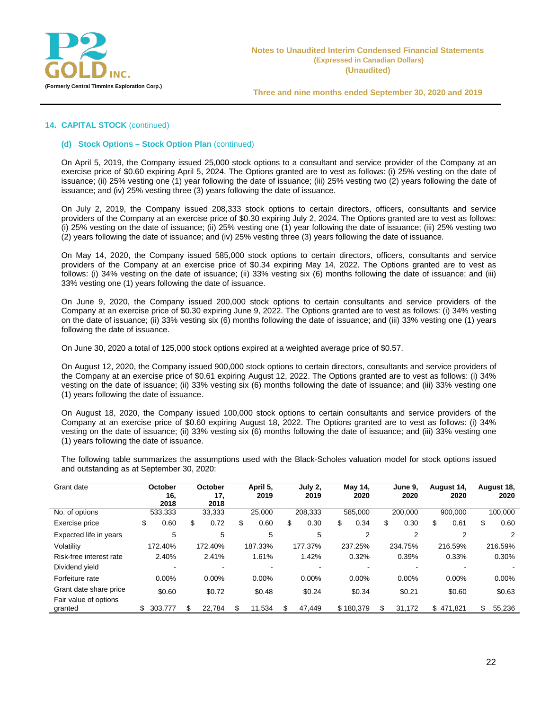

## **14. CAPITAL STOCK** (continued)

#### **(d) Stock Options – Stock Option Plan** (continued)

On April 5, 2019, the Company issued 25,000 stock options to a consultant and service provider of the Company at an exercise price of \$0.60 expiring April 5, 2024. The Options granted are to vest as follows: (i) 25% vesting on the date of issuance; (ii) 25% vesting one (1) year following the date of issuance; (iii) 25% vesting two (2) years following the date of issuance; and (iv) 25% vesting three (3) years following the date of issuance.

On July 2, 2019, the Company issued 208,333 stock options to certain directors, officers, consultants and service providers of the Company at an exercise price of \$0.30 expiring July 2, 2024. The Options granted are to vest as follows: (i) 25% vesting on the date of issuance; (ii) 25% vesting one (1) year following the date of issuance; (iii) 25% vesting two (2) years following the date of issuance; and (iv) 25% vesting three (3) years following the date of issuance.

On May 14, 2020, the Company issued 585,000 stock options to certain directors, officers, consultants and service providers of the Company at an exercise price of \$0.34 expiring May 14, 2022. The Options granted are to vest as follows: (i) 34% vesting on the date of issuance; (ii) 33% vesting six (6) months following the date of issuance; and (iii) 33% vesting one (1) years following the date of issuance.

On June 9, 2020, the Company issued 200,000 stock options to certain consultants and service providers of the Company at an exercise price of \$0.30 expiring June 9, 2022. The Options granted are to vest as follows: (i) 34% vesting on the date of issuance; (ii) 33% vesting six (6) months following the date of issuance; and (iii) 33% vesting one (1) years following the date of issuance.

On June 30, 2020 a total of 125,000 stock options expired at a weighted average price of \$0.57.

On August 12, 2020, the Company issued 900,000 stock options to certain directors, consultants and service providers of the Company at an exercise price of \$0.61 expiring August 12, 2022. The Options granted are to vest as follows: (i) 34% vesting on the date of issuance; (ii) 33% vesting six (6) months following the date of issuance; and (iii) 33% vesting one (1) years following the date of issuance.

On August 18, 2020, the Company issued 100,000 stock options to certain consultants and service providers of the Company at an exercise price of \$0.60 expiring August 18, 2022. The Options granted are to vest as follows: (i) 34% vesting on the date of issuance; (ii) 33% vesting six (6) months following the date of issuance; and (iii) 33% vesting one (1) years following the date of issuance.

The following table summarizes the assumptions used with the Black-Scholes valuation model for stock options issued and outstanding as at September 30, 2020:

| Grant date                       | October<br>16,<br>2018 |    | October<br>17,<br>2018 |    | April 5,<br>2019 | July 2,<br>2019 | May 14,<br>2020 | June 9.<br>2020 |     | August 14,<br>2020 | August 18,<br>2020 |
|----------------------------------|------------------------|----|------------------------|----|------------------|-----------------|-----------------|-----------------|-----|--------------------|--------------------|
| No. of options                   | 533,333                |    | 33,333                 |    | 25.000           | 208.333         | 585,000         | 200.000         |     | 900.000            | 100.000            |
| Exercise price                   | \$<br>0.60             | \$ | 0.72                   | \$ | 0.60             | \$<br>0.30      | \$<br>0.34      | \$<br>0.30      | \$  | 0.61               | \$<br>0.60         |
| Expected life in years           | 5                      |    | 5                      |    | 5                | 5               | 2               | 2               |     | 2                  | 2                  |
| Volatility                       | 172.40%                |    | 172.40%                |    | 187.33%          | 177.37%         | 237.25%         | 234.75%         |     | 216.59%            | 216.59%            |
| Risk-free interest rate          | 2.40%                  |    | 2.41%                  |    | 1.61%            | 1.42%           | 0.32%           | 0.39%           |     | 0.33%              | 0.30%              |
| Dividend yield                   |                        |    |                        |    |                  |                 |                 |                 |     |                    |                    |
| Forfeiture rate                  | 0.00%                  |    | $0.00\%$               |    | $0.00\%$         | 0.00%           | 0.00%           | 0.00%           |     | $0.00\%$           | 0.00%              |
| Grant date share price           | \$0.60                 |    | \$0.72                 |    | \$0.48           | \$0.24          | \$0.34          | \$0.21          |     | \$0.60             | \$0.63             |
| Fair value of options<br>granted | \$<br>303.777          | S  | 22.784                 | S  | 11.534           | 47,449          | \$180,379       | 31.172          | \$. | 471,821            | 55,236             |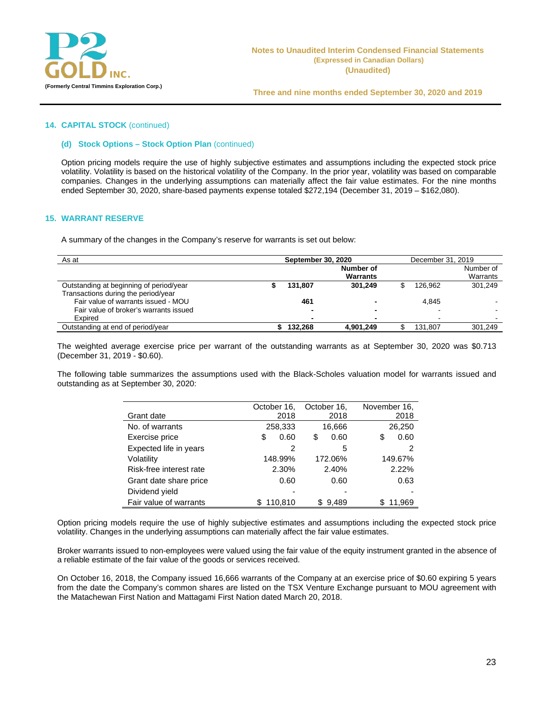

#### **14. CAPITAL STOCK** (continued)

#### **(d) Stock Options – Stock Option Plan** (continued)

Option pricing models require the use of highly subjective estimates and assumptions including the expected stock price volatility. Volatility is based on the historical volatility of the Company. In the prior year, volatility was based on comparable companies. Changes in the underlying assumptions can materially affect the fair value estimates. For the nine months ended September 30, 2020, share-based payments expense totaled \$272,194 (December 31, 2019 – \$162,080).

#### **15. WARRANT RESERVE**

A summary of the changes in the Company's reserve for warrants is set out below:

| As at                                   | <b>September 30, 2020</b> | December 31, 2019 |  |         |           |
|-----------------------------------------|---------------------------|-------------------|--|---------|-----------|
|                                         |                           | Number of         |  |         | Number of |
|                                         |                           | <b>Warrants</b>   |  |         | Warrants  |
| Outstanding at beginning of period/year | 131.807                   | 301.249           |  | 126.962 | 301.249   |
| Transactions during the period/year     |                           |                   |  |         |           |
| Fair value of warrants issued - MOU     | 461                       |                   |  | 4.845   |           |
| Fair value of broker's warrants issued  |                           |                   |  |         |           |
| Expired                                 |                           | -                 |  | -       |           |
| Outstanding at end of period/year       | 132.268                   | 4,901,249         |  | 131.807 | 301.249   |

The weighted average exercise price per warrant of the outstanding warrants as at September 30, 2020 was \$0.713 (December 31, 2019 - \$0.60).

The following table summarizes the assumptions used with the Black-Scholes valuation model for warrants issued and outstanding as at September 30, 2020:

|                         | October 16, | October 16. | November 16, |
|-------------------------|-------------|-------------|--------------|
| Grant date              | 2018        | 2018        | 2018         |
| No. of warrants         | 258,333     | 16,666      | 26,250       |
| Exercise price          | 0.60<br>S   | 0.60<br>\$  | 0.60<br>S    |
| Expected life in years  | 2           | 5           | 2            |
| Volatility              | 148.99%     | 172.06%     | 149.67%      |
| Risk-free interest rate | 2.30%       | 2.40%       | 2.22%        |
| Grant date share price  | 0.60        | 0.60        | 0.63         |
| Dividend yield          |             |             |              |
| Fair value of warrants  | 110.810     | 9.489<br>SS | 11.969<br>S  |

Option pricing models require the use of highly subjective estimates and assumptions including the expected stock price volatility. Changes in the underlying assumptions can materially affect the fair value estimates.

Broker warrants issued to non-employees were valued using the fair value of the equity instrument granted in the absence of a reliable estimate of the fair value of the goods or services received.

On October 16, 2018, the Company issued 16,666 warrants of the Company at an exercise price of \$0.60 expiring 5 years from the date the Company's common shares are listed on the TSX Venture Exchange pursuant to MOU agreement with the Matachewan First Nation and Mattagami First Nation dated March 20, 2018.